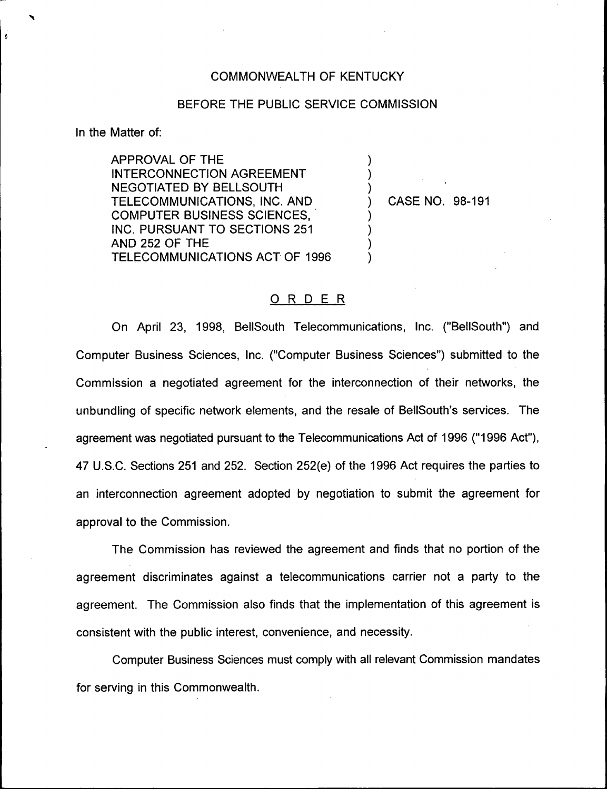## COMMONN/EALTH OF KENTUCKY

## BEFORE THE PUBLIC SERVICE COMMISSION

) ) )

) ) ) )

In the Matter of:

APPROVAL OF THE INTERCONNECTION AGREEMENT NEGOTIATED BY BELLSOUTH TELECOMMUNICATIONS, INC. AND COMPUTER BUSINESS SCIENCES, INC. PURSUANT TO SECTIONS 251 AND 252 OF THE TELECOMMUNICATIONS ACT QF 1996

) CASE NO. 98-191

## ORDER

On April 23, 1998, BellSouth Telecommunications, Inc. ("BellSouth") and Computer Business Sciences, Inc. ("Computer Business Sciences") submitted to the Commission a negotiated agreement for the interconnection of their networks, the unbundling of specific network elements, and the resale of BellSouth's services. The agreement was negotiated pursuant to the Telecommunications Act of 1996 ("1996 Act"), 47 U.S.C. Sections 251 and 252. Section 252(e) of the 1996 Act requires the parties to an interconnection agreement adopted by negotiation to submit the agreement for approval to the Commission.

The Commission has reviewed the agreement and finds that no portion of the agreement discriminates against a telecommunications carrier not a party to the agreement. The Commission also finds that the implementation of this agreement is consistent with the public interest, convenience, and necessity.

Computer Business Sciences must comply with all relevant Commission mandates for serving in this Commonwealth.